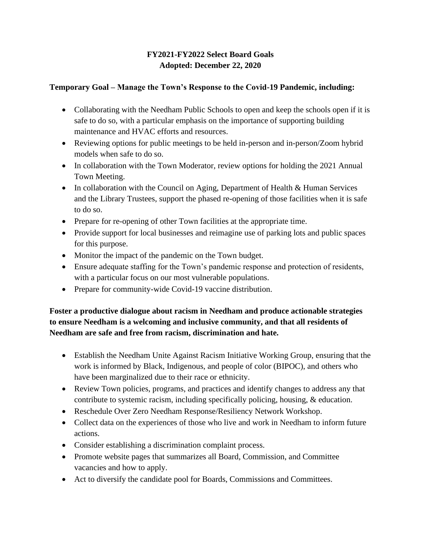# **FY2021-FY2022 Select Board Goals Adopted: December 22, 2020**

## **Temporary Goal – Manage the Town's Response to the Covid-19 Pandemic, including:**

- Collaborating with the Needham Public Schools to open and keep the schools open if it is safe to do so, with a particular emphasis on the importance of supporting building maintenance and HVAC efforts and resources.
- Reviewing options for public meetings to be held in-person and in-person/Zoom hybrid models when safe to do so.
- In collaboration with the Town Moderator, review options for holding the 2021 Annual Town Meeting.
- In collaboration with the Council on Aging, Department of Health & Human Services and the Library Trustees, support the phased re-opening of those facilities when it is safe to do so.
- Prepare for re-opening of other Town facilities at the appropriate time.
- Provide support for local businesses and reimagine use of parking lots and public spaces for this purpose.
- Monitor the impact of the pandemic on the Town budget.
- Ensure adequate staffing for the Town's pandemic response and protection of residents, with a particular focus on our most vulnerable populations.
- Prepare for community-wide Covid-19 vaccine distribution.

# **Foster a productive dialogue about racism in Needham and produce actionable strategies to ensure Needham is a welcoming and inclusive community, and that all residents of Needham are safe and free from racism, discrimination and hate.**

- Establish the Needham Unite Against Racism Initiative Working Group, ensuring that the work is informed by Black, Indigenous, and people of color (BIPOC), and others who have been marginalized due to their race or ethnicity.
- Review Town policies, programs, and practices and identify changes to address any that contribute to systemic racism, including specifically policing, housing, & education.
- Reschedule Over Zero Needham Response/Resiliency Network Workshop.
- Collect data on the experiences of those who live and work in Needham to inform future actions.
- Consider establishing a discrimination complaint process.
- Promote website pages that summarizes all Board, Commission, and Committee vacancies and how to apply.
- Act to diversify the candidate pool for Boards, Commissions and Committees.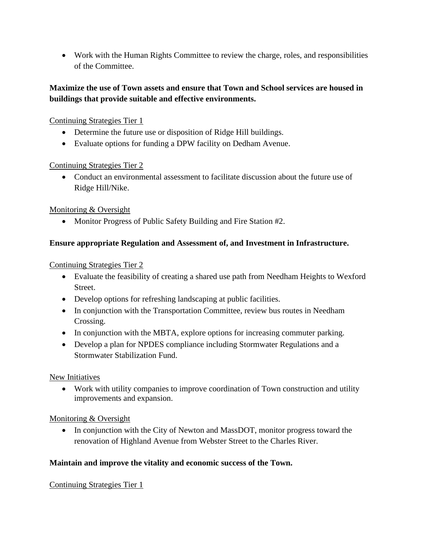• Work with the Human Rights Committee to review the charge, roles, and responsibilities of the Committee.

# **Maximize the use of Town assets and ensure that Town and School services are housed in buildings that provide suitable and effective environments.**

## Continuing Strategies Tier 1

- Determine the future use or disposition of Ridge Hill buildings.
- Evaluate options for funding a DPW facility on Dedham Avenue.

## Continuing Strategies Tier 2

• Conduct an environmental assessment to facilitate discussion about the future use of Ridge Hill/Nike.

## Monitoring & Oversight

• Monitor Progress of Public Safety Building and Fire Station #2.

### **Ensure appropriate Regulation and Assessment of, and Investment in Infrastructure.**

### Continuing Strategies Tier 2

- Evaluate the feasibility of creating a shared use path from Needham Heights to Wexford Street.
- Develop options for refreshing landscaping at public facilities.
- In conjunction with the Transportation Committee, review bus routes in Needham Crossing.
- In conjunction with the MBTA, explore options for increasing commuter parking.
- Develop a plan for NPDES compliance including Stormwater Regulations and a Stormwater Stabilization Fund.

## New Initiatives

• Work with utility companies to improve coordination of Town construction and utility improvements and expansion.

## Monitoring & Oversight

• In conjunction with the City of Newton and MassDOT, monitor progress toward the renovation of Highland Avenue from Webster Street to the Charles River.

## **Maintain and improve the vitality and economic success of the Town.**

## Continuing Strategies Tier 1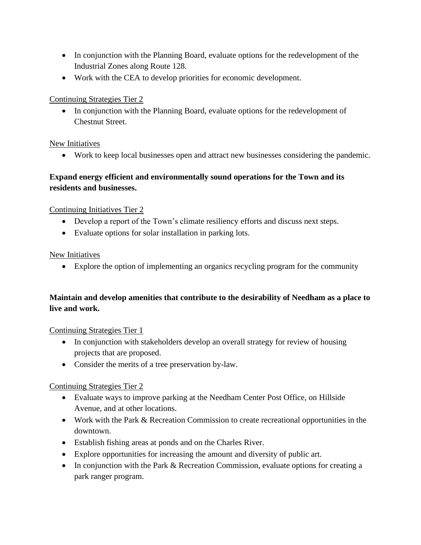- In conjunction with the Planning Board, evaluate options for the redevelopment of the Industrial Zones along Route 128.
- Work with the CEA to develop priorities for economic development.

# Continuing Strategies Tier 2

• In conjunction with the Planning Board, evaluate options for the redevelopment of Chestnut Street.

# New Initiatives

• Work to keep local businesses open and attract new businesses considering the pandemic.

# **Expand energy efficient and environmentally sound operations for the Town and its residents and businesses.**

# Continuing Initiatives Tier 2

- Develop a report of the Town's climate resiliency efforts and discuss next steps.
- Evaluate options for solar installation in parking lots.

# New Initiatives

• Explore the option of implementing an organics recycling program for the community

# **Maintain and develop amenities that contribute to the desirability of Needham as a place to live and work.**

## Continuing Strategies Tier 1

- In conjunction with stakeholders develop an overall strategy for review of housing projects that are proposed.
- Consider the merits of a tree preservation by-law.

# Continuing Strategies Tier 2

- Evaluate ways to improve parking at the Needham Center Post Office, on Hillside Avenue, and at other locations.
- Work with the Park & Recreation Commission to create recreational opportunities in the downtown.
- Establish fishing areas at ponds and on the Charles River.
- Explore opportunities for increasing the amount and diversity of public art.
- In conjunction with the Park & Recreation Commission, evaluate options for creating a park ranger program.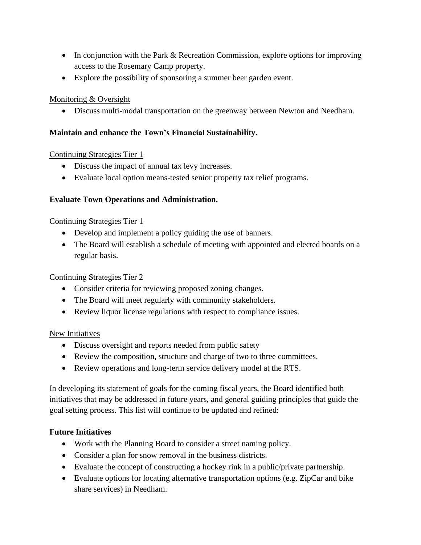- In conjunction with the Park & Recreation Commission, explore options for improving access to the Rosemary Camp property.
- Explore the possibility of sponsoring a summer beer garden event.

### Monitoring & Oversight

• Discuss multi-modal transportation on the greenway between Newton and Needham.

## **Maintain and enhance the Town's Financial Sustainability.**

### Continuing Strategies Tier 1

- Discuss the impact of annual tax levy increases.
- Evaluate local option means-tested senior property tax relief programs.

### **Evaluate Town Operations and Administration.**

#### Continuing Strategies Tier 1

- Develop and implement a policy guiding the use of banners.
- The Board will establish a schedule of meeting with appointed and elected boards on a regular basis.

#### Continuing Strategies Tier 2

- Consider criteria for reviewing proposed zoning changes.
- The Board will meet regularly with community stakeholders.
- Review liquor license regulations with respect to compliance issues.

#### New Initiatives

- Discuss oversight and reports needed from public safety
- Review the composition, structure and charge of two to three committees.
- Review operations and long-term service delivery model at the RTS.

In developing its statement of goals for the coming fiscal years, the Board identified both initiatives that may be addressed in future years, and general guiding principles that guide the goal setting process. This list will continue to be updated and refined:

#### **Future Initiatives**

- Work with the Planning Board to consider a street naming policy.
- Consider a plan for snow removal in the business districts.
- Evaluate the concept of constructing a hockey rink in a public/private partnership.
- Evaluate options for locating alternative transportation options (e.g. ZipCar and bike share services) in Needham.